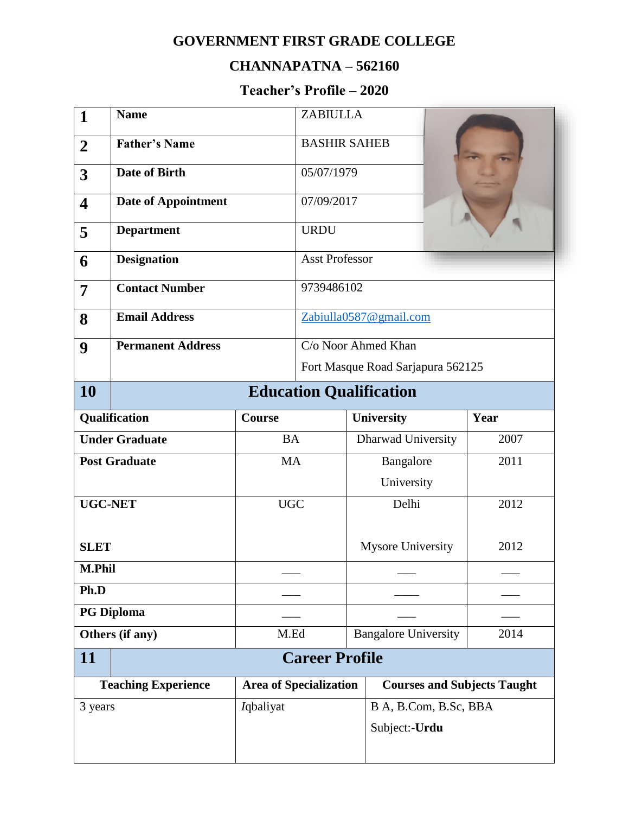## **GOVERNMENT FIRST GRADE COLLEGE**

## **CHANNAPATNA – 562160**

## **Teacher's Profile – 2020**

| 1                       | <b>Name</b>                    |                                                                                                   | <b>ZABIULLA</b>                   |                             |      |  |  |
|-------------------------|--------------------------------|---------------------------------------------------------------------------------------------------|-----------------------------------|-----------------------------|------|--|--|
| $\overline{2}$          | <b>Father's Name</b>           |                                                                                                   | <b>BASHIR SAHEB</b>               |                             |      |  |  |
| 3                       | <b>Date of Birth</b>           |                                                                                                   | 05/07/1979                        |                             |      |  |  |
| $\overline{\mathbf{4}}$ | <b>Date of Appointment</b>     |                                                                                                   | 07/09/2017                        |                             |      |  |  |
| 5                       | <b>Department</b>              |                                                                                                   | <b>URDU</b>                       |                             |      |  |  |
| 6                       | <b>Designation</b>             |                                                                                                   | <b>Asst Professor</b>             |                             |      |  |  |
| 7                       | <b>Contact Number</b>          |                                                                                                   | 9739486102                        |                             |      |  |  |
| 8                       | <b>Email Address</b>           |                                                                                                   | Zabiulla0587@gmail.com            |                             |      |  |  |
| 9                       | <b>Permanent Address</b>       |                                                                                                   | C/o Noor Ahmed Khan               |                             |      |  |  |
|                         |                                |                                                                                                   | Fort Masque Road Sarjapura 562125 |                             |      |  |  |
| 10                      | <b>Education Qualification</b> |                                                                                                   |                                   |                             |      |  |  |
|                         | Qualification                  | <b>Course</b>                                                                                     |                                   | University                  | Year |  |  |
| <b>Under Graduate</b>   |                                | <b>BA</b>                                                                                         |                                   | Dharwad University          | 2007 |  |  |
| <b>Post Graduate</b>    |                                | <b>MA</b>                                                                                         |                                   | Bangalore                   | 2011 |  |  |
|                         |                                |                                                                                                   |                                   | University                  |      |  |  |
| <b>UGC-NET</b>          |                                | <b>UGC</b>                                                                                        |                                   | Delhi                       | 2012 |  |  |
| <b>SLET</b>             |                                |                                                                                                   |                                   | <b>Mysore University</b>    | 2012 |  |  |
| <b>M.Phil</b>           |                                |                                                                                                   |                                   |                             |      |  |  |
| Ph.D                    |                                |                                                                                                   |                                   |                             |      |  |  |
| <b>PG Diploma</b>       |                                |                                                                                                   |                                   |                             |      |  |  |
| Others (if any)         |                                | M.Ed                                                                                              |                                   | <b>Bangalore University</b> | 2014 |  |  |
| <b>11</b>               | <b>Career Profile</b>          |                                                                                                   |                                   |                             |      |  |  |
|                         |                                | <b>Teaching Experience</b><br><b>Courses and Subjects Taught</b><br><b>Area of Specialization</b> |                                   |                             |      |  |  |
|                         |                                |                                                                                                   |                                   |                             |      |  |  |
| 3 years                 |                                | <i>I</i> qbaliyat                                                                                 |                                   | B A, B.Com, B.Sc, BBA       |      |  |  |
|                         |                                |                                                                                                   |                                   | Subject:-Urdu               |      |  |  |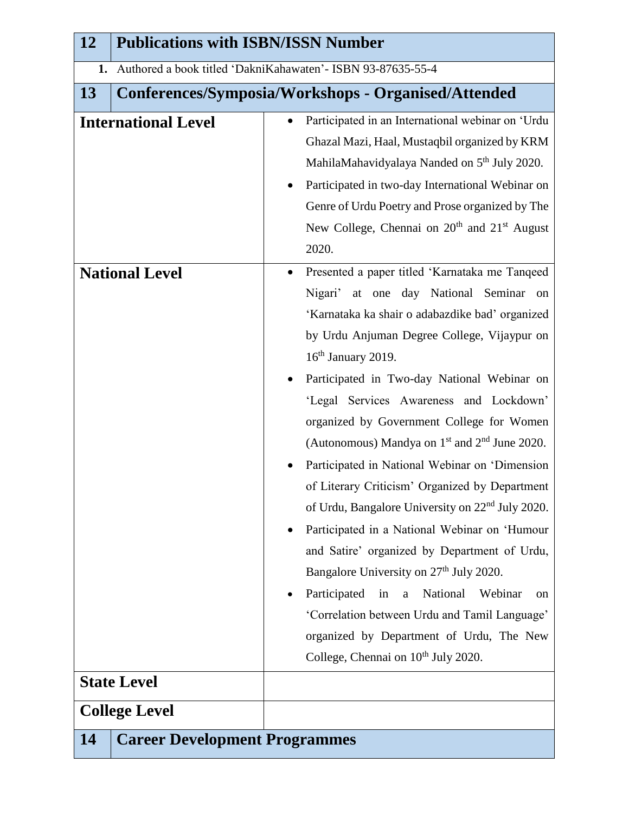| 12                                          | <b>Publications with ISBN/ISSN Number</b>                    |                                                                                                                                                                                                                                                                                                                                                                                                                                                                                                                                                                                                                                                                                                                                                                                                                                                                                                                                                                                            |  |  |  |  |
|---------------------------------------------|--------------------------------------------------------------|--------------------------------------------------------------------------------------------------------------------------------------------------------------------------------------------------------------------------------------------------------------------------------------------------------------------------------------------------------------------------------------------------------------------------------------------------------------------------------------------------------------------------------------------------------------------------------------------------------------------------------------------------------------------------------------------------------------------------------------------------------------------------------------------------------------------------------------------------------------------------------------------------------------------------------------------------------------------------------------------|--|--|--|--|
| 1.                                          | Authored a book titled 'DakniKahawaten' - ISBN 93-87635-55-4 |                                                                                                                                                                                                                                                                                                                                                                                                                                                                                                                                                                                                                                                                                                                                                                                                                                                                                                                                                                                            |  |  |  |  |
| 13                                          |                                                              | Conferences/Symposia/Workshops - Organised/Attended                                                                                                                                                                                                                                                                                                                                                                                                                                                                                                                                                                                                                                                                                                                                                                                                                                                                                                                                        |  |  |  |  |
|                                             | <b>International Level</b>                                   | Participated in an International webinar on 'Urdu<br>Ghazal Mazi, Haal, Mustaqbil organized by KRM<br>MahilaMahavidyalaya Nanded on 5 <sup>th</sup> July 2020.<br>Participated in two-day International Webinar on<br>Genre of Urdu Poetry and Prose organized by The<br>New College, Chennai on 20 <sup>th</sup> and 21 <sup>st</sup> August<br>2020.                                                                                                                                                                                                                                                                                                                                                                                                                                                                                                                                                                                                                                     |  |  |  |  |
| <b>National Level</b><br><b>State Level</b> |                                                              | Presented a paper titled 'Karnataka me Tanqeed<br>Nigari'<br>at one day National Seminar<br>on<br>'Karnataka ka shair o adabazdike bad' organized<br>by Urdu Anjuman Degree College, Vijaypur on<br>16 <sup>th</sup> January 2019.<br>Participated in Two-day National Webinar on<br>'Legal Services Awareness and Lockdown'<br>organized by Government College for Women<br>(Autonomous) Mandya on $1st$ and $2nd$ June 2020.<br>Participated in National Webinar on 'Dimension<br>of Literary Criticism' Organized by Department<br>of Urdu, Bangalore University on 22 <sup>nd</sup> July 2020.<br>Participated in a National Webinar on 'Humour<br>$\bullet$<br>and Satire' organized by Department of Urdu,<br>Bangalore University on 27 <sup>th</sup> July 2020.<br>Participated<br>National<br>in<br>Webinar<br>$\mathbf{a}$<br>on<br>'Correlation between Urdu and Tamil Language'<br>organized by Department of Urdu, The New<br>College, Chennai on 10 <sup>th</sup> July 2020. |  |  |  |  |
|                                             |                                                              |                                                                                                                                                                                                                                                                                                                                                                                                                                                                                                                                                                                                                                                                                                                                                                                                                                                                                                                                                                                            |  |  |  |  |
|                                             | <b>College Level</b>                                         |                                                                                                                                                                                                                                                                                                                                                                                                                                                                                                                                                                                                                                                                                                                                                                                                                                                                                                                                                                                            |  |  |  |  |
| <b>14</b>                                   | <b>Career Development Programmes</b>                         |                                                                                                                                                                                                                                                                                                                                                                                                                                                                                                                                                                                                                                                                                                                                                                                                                                                                                                                                                                                            |  |  |  |  |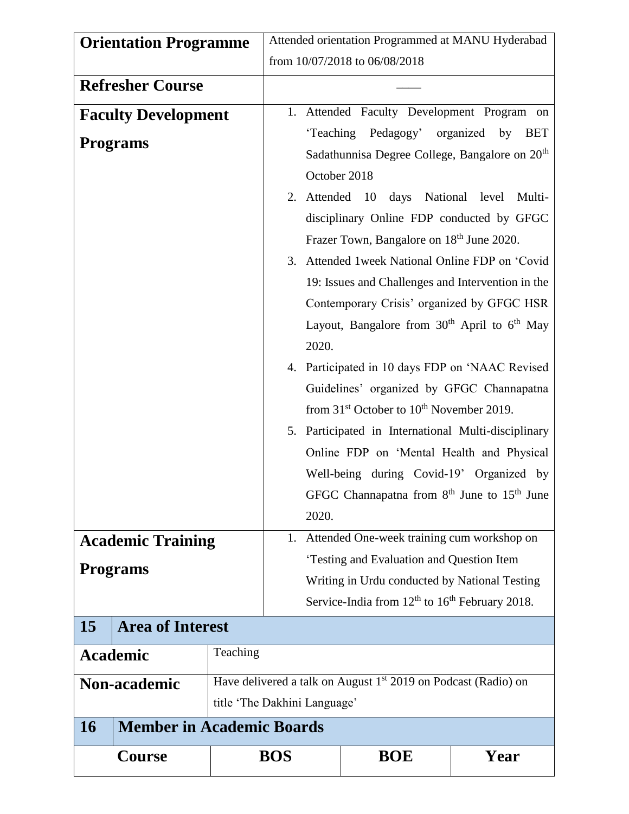| <b>Orientation Programme</b> |                                  |                                                                                                                                                                      | Attended orientation Programmed at MANU Hyderabad                                                                                                                                                                            |              |                                                                                                                                                                                                                             |                                                                          |
|------------------------------|----------------------------------|----------------------------------------------------------------------------------------------------------------------------------------------------------------------|------------------------------------------------------------------------------------------------------------------------------------------------------------------------------------------------------------------------------|--------------|-----------------------------------------------------------------------------------------------------------------------------------------------------------------------------------------------------------------------------|--------------------------------------------------------------------------|
|                              |                                  |                                                                                                                                                                      | from 10/07/2018 to 06/08/2018                                                                                                                                                                                                |              |                                                                                                                                                                                                                             |                                                                          |
| <b>Refresher Course</b>      |                                  |                                                                                                                                                                      |                                                                                                                                                                                                                              |              |                                                                                                                                                                                                                             |                                                                          |
| <b>Faculty Development</b>   |                                  |                                                                                                                                                                      |                                                                                                                                                                                                                              |              |                                                                                                                                                                                                                             | 1. Attended Faculty Development Program on                               |
| <b>Programs</b>              |                                  |                                                                                                                                                                      |                                                                                                                                                                                                                              | October 2018 | 'Teaching Pedagogy' organized by                                                                                                                                                                                            | <b>BET</b><br>Sadathunnisa Degree College, Bangalore on 20 <sup>th</sup> |
|                              |                                  |                                                                                                                                                                      |                                                                                                                                                                                                                              | 2. Attended  | 10<br>days<br>Frazer Town, Bangalore on 18 <sup>th</sup> June 2020.                                                                                                                                                         | National level<br>Multi-<br>disciplinary Online FDP conducted by GFGC    |
|                              |                                  |                                                                                                                                                                      | 2020.                                                                                                                                                                                                                        |              | 3. Attended 1 week National Online FDP on 'Covid<br>19: Issues and Challenges and Intervention in the<br>Contemporary Crisis' organized by GFGC HSR<br>Layout, Bangalore from 30 <sup>th</sup> April to 6 <sup>th</sup> May |                                                                          |
|                              |                                  | 4. Participated in 10 days FDP on 'NAAC Revised<br>Guidelines' organized by GFGC Channapatna<br>from 31 <sup>st</sup> October to 10 <sup>th</sup> November 2019.     |                                                                                                                                                                                                                              |              |                                                                                                                                                                                                                             |                                                                          |
|                              |                                  |                                                                                                                                                                      | 5. Participated in International Multi-disciplinary<br>Online FDP on 'Mental Health and Physical<br>Well-being during Covid-19' Organized by<br>GFGC Channapatna from 8 <sup>th</sup> June to 15 <sup>th</sup> June<br>2020. |              |                                                                                                                                                                                                                             |                                                                          |
| <b>Academic Training</b>     |                                  |                                                                                                                                                                      | 1.                                                                                                                                                                                                                           |              | Attended One-week training cum workshop on                                                                                                                                                                                  |                                                                          |
| <b>Programs</b>              |                                  | 'Testing and Evaluation and Question Item<br>Writing in Urdu conducted by National Testing<br>Service-India from 12 <sup>th</sup> to 16 <sup>th</sup> February 2018. |                                                                                                                                                                                                                              |              |                                                                                                                                                                                                                             |                                                                          |
| 15                           | <b>Area of Interest</b>          |                                                                                                                                                                      |                                                                                                                                                                                                                              |              |                                                                                                                                                                                                                             |                                                                          |
| <b>Academic</b>              |                                  | Teaching                                                                                                                                                             |                                                                                                                                                                                                                              |              |                                                                                                                                                                                                                             |                                                                          |
| <b>Non-academic</b>          |                                  | Have delivered a talk on August $1st$ 2019 on Podcast (Radio) on<br>title 'The Dakhini Language'                                                                     |                                                                                                                                                                                                                              |              |                                                                                                                                                                                                                             |                                                                          |
| <b>16</b>                    | <b>Member in Academic Boards</b> |                                                                                                                                                                      |                                                                                                                                                                                                                              |              |                                                                                                                                                                                                                             |                                                                          |
| <b>Course</b>                |                                  |                                                                                                                                                                      | <b>BOS</b>                                                                                                                                                                                                                   |              | <b>BOE</b>                                                                                                                                                                                                                  | Year                                                                     |